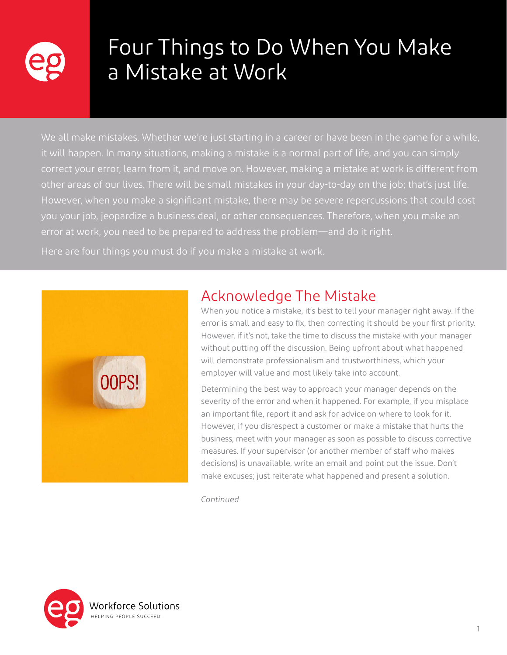

# Four Things to Do When You Make a Mistake at Work

We all make mistakes. Whether we're just starting in a career or have been in the game for a while, it will happen. In many situations, making a mistake is a normal part of life, and you can simply correct your error, learn from it, and move on. However, making a mistake at work is different from other areas of our lives. There will be small mistakes in your day-to-day on the job; that's just life. However, when you make a significant mistake, there may be severe repercussions that could cost you your job, jeopardize a business deal, or other consequences. Therefore, when you make an error at work, you need to be prepared to address the problem—and do it right.

Here are four things you must do if you make a mistake at work.



## Acknowledge The Mistake

When you notice a mistake, it's best to tell your manager right away. If the error is small and easy to fix, then correcting it should be your first priority. However, if it's not, take the time to discuss the mistake with your manager without putting off the discussion. Being upfront about what happened will demonstrate professionalism and trustworthiness, which your employer will value and most likely take into account.

Determining the best way to approach your manager depends on the severity of the error and when it happened. For example, if you misplace an important file, report it and ask for advice on where to look for it. However, if you disrespect a customer or make a mistake that hurts the business, meet with your manager as soon as possible to discuss corrective measures. If your supervisor (or another member of staff who makes decisions) is unavailable, write an email and point out the issue. Don't make excuses; just reiterate what happened and present a solution.

*Continued*

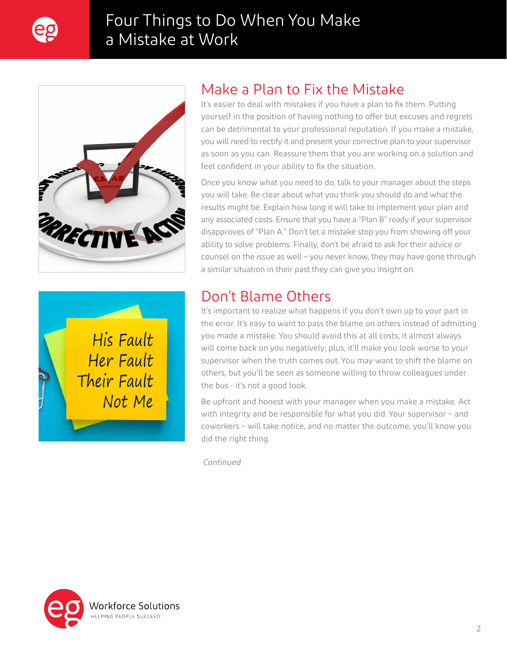

# Four Things to Do When You Make a Mistake at Work





### Make a Plan to Fix the Mistake

It's easier to deal with mistakes if you have a plan to fix them. Putting yourself in the position of having nothing to offer but excuses and regrets can be detrimental to your professional reputation. If you make a mistake, you will need to rectify it and present your corrective plan to your supervisor as soon as you can. Reassure them that you are working on a solution and feel confident in your ability to fix the situation.

Once you know what you need to do, talk to your manager about the steps you will take. Be clear about what you think you should do and what the results might be. Explain how long it will take to implement your plan and any associated costs. Ensure that you have a "Plan B" ready if your supervisor disapproves of "Plan A." Don't let a mistake stop you from showing off your ability to solve problems. Finally, don't be afraid to ask for their advice or counsel on the issue as well – you never know, they may have gone through a similar situation in their past they can give you insight on.

# Don't Blame Others

It's important to realize what happens if you don't own up to your part in the error. It's easy to want to pass the blame on others instead of admitting you made a mistake. You should avoid this at all costs; it almost always will come back on you negatively; plus, it'll make you look worse to your supervisor when the truth comes out. You may want to shift the blame on others, but you'll be seen as someone willing to throw colleagues under the bus - it's not a good look.

Be upfront and honest with your manager when you make a mistake. Act with integrity and be responsible for what you did. Your supervisor – and coworkers – will take notice, and no matter the outcome, you'll know you did the right thing.

*Continued*